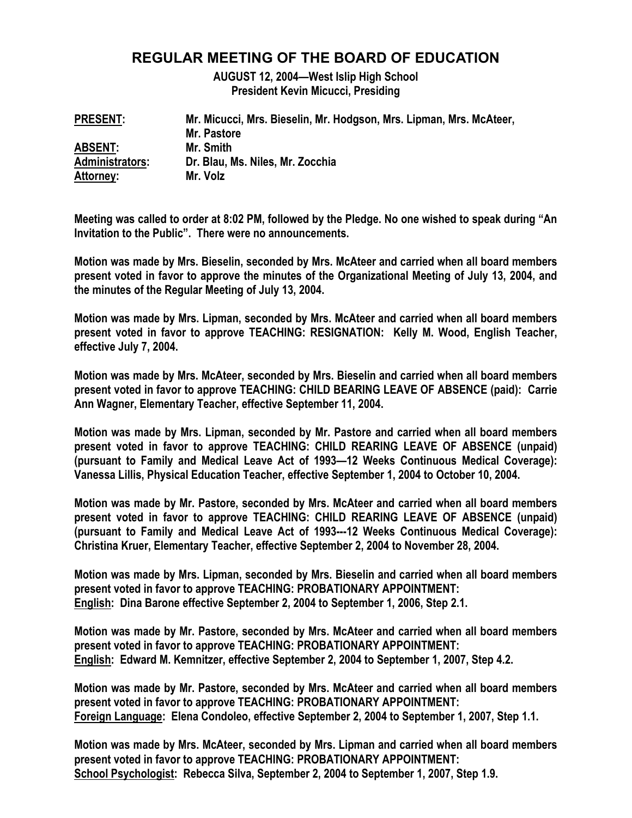# **REGULAR MEETING OF THE BOARD OF EDUCATION**

**AUGUST 12, 2004—West Islip High School President Kevin Micucci, Presiding** 

| <b>PRESENT:</b>        | Mr. Micucci, Mrs. Bieselin, Mr. Hodgson, Mrs. Lipman, Mrs. McAteer, |
|------------------------|---------------------------------------------------------------------|
|                        | Mr. Pastore                                                         |
| <b>ABSENT:</b>         | Mr. Smith                                                           |
| <b>Administrators:</b> | Dr. Blau, Ms. Niles, Mr. Zocchia                                    |
| Attorney:              | Mr. Volz                                                            |

**Meeting was called to order at 8:02 PM, followed by the Pledge. No one wished to speak during "An Invitation to the Public". There were no announcements.** 

**Motion was made by Mrs. Bieselin, seconded by Mrs. McAteer and carried when all board members present voted in favor to approve the minutes of the Organizational Meeting of July 13, 2004, and the minutes of the Regular Meeting of July 13, 2004.** 

**Motion was made by Mrs. Lipman, seconded by Mrs. McAteer and carried when all board members present voted in favor to approve TEACHING: RESIGNATION: Kelly M. Wood, English Teacher, effective July 7, 2004.** 

**Motion was made by Mrs. McAteer, seconded by Mrs. Bieselin and carried when all board members present voted in favor to approve TEACHING: CHILD BEARING LEAVE OF ABSENCE (paid): Carrie Ann Wagner, Elementary Teacher, effective September 11, 2004.** 

**Motion was made by Mrs. Lipman, seconded by Mr. Pastore and carried when all board members present voted in favor to approve TEACHING: CHILD REARING LEAVE OF ABSENCE (unpaid) (pursuant to Family and Medical Leave Act of 1993—12 Weeks Continuous Medical Coverage): Vanessa Lillis, Physical Education Teacher, effective September 1, 2004 to October 10, 2004.** 

**Motion was made by Mr. Pastore, seconded by Mrs. McAteer and carried when all board members present voted in favor to approve TEACHING: CHILD REARING LEAVE OF ABSENCE (unpaid) (pursuant to Family and Medical Leave Act of 1993---12 Weeks Continuous Medical Coverage): Christina Kruer, Elementary Teacher, effective September 2, 2004 to November 28, 2004.** 

**Motion was made by Mrs. Lipman, seconded by Mrs. Bieselin and carried when all board members present voted in favor to approve TEACHING: PROBATIONARY APPOINTMENT: English: Dina Barone effective September 2, 2004 to September 1, 2006, Step 2.1.** 

**Motion was made by Mr. Pastore, seconded by Mrs. McAteer and carried when all board members present voted in favor to approve TEACHING: PROBATIONARY APPOINTMENT: English: Edward M. Kemnitzer, effective September 2, 2004 to September 1, 2007, Step 4.2.** 

**Motion was made by Mr. Pastore, seconded by Mrs. McAteer and carried when all board members present voted in favor to approve TEACHING: PROBATIONARY APPOINTMENT: Foreign Language: Elena Condoleo, effective September 2, 2004 to September 1, 2007, Step 1.1.** 

**Motion was made by Mrs. McAteer, seconded by Mrs. Lipman and carried when all board members present voted in favor to approve TEACHING: PROBATIONARY APPOINTMENT: School Psychologist: Rebecca Silva, September 2, 2004 to September 1, 2007, Step 1.9.**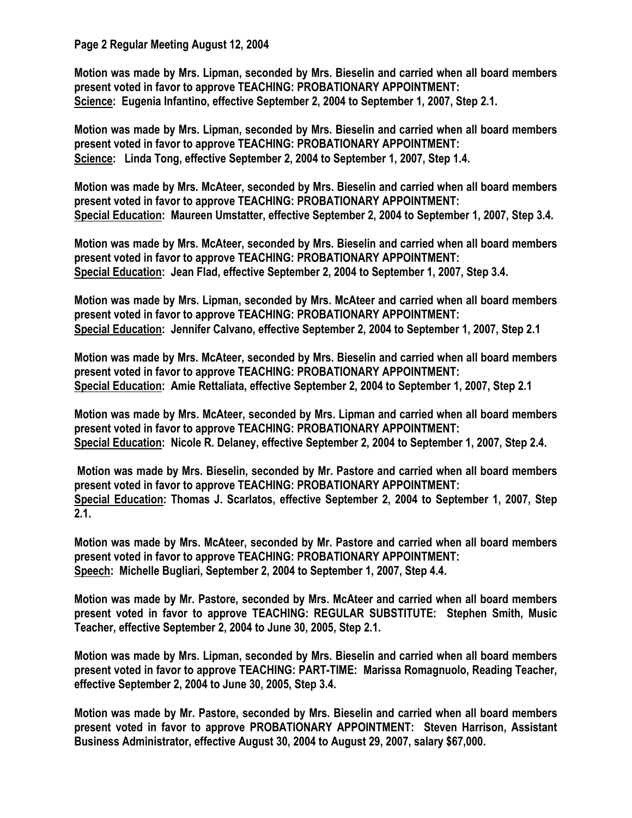**Page 2 Regular Meeting August 12, 2004** 

**Motion was made by Mrs. Lipman, seconded by Mrs. Bieselin and carried when all board members present voted in favor to approve TEACHING: PROBATIONARY APPOINTMENT: Science: Eugenia Infantino, effective September 2, 2004 to September 1, 2007, Step 2.1.** 

**Motion was made by Mrs. Lipman, seconded by Mrs. Bieselin and carried when all board members present voted in favor to approve TEACHING: PROBATIONARY APPOINTMENT: Science: Linda Tong, effective September 2, 2004 to September 1, 2007, Step 1.4.** 

**Motion was made by Mrs. McAteer, seconded by Mrs. Bieselin and carried when all board members present voted in favor to approve TEACHING: PROBATIONARY APPOINTMENT: Special Education: Maureen Umstatter, effective September 2, 2004 to September 1, 2007, Step 3.4.** 

**Motion was made by Mrs. McAteer, seconded by Mrs. Bieselin and carried when all board members present voted in favor to approve TEACHING: PROBATIONARY APPOINTMENT: Special Education: Jean Flad, effective September 2, 2004 to September 1, 2007, Step 3.4.** 

**Motion was made by Mrs. Lipman, seconded by Mrs. McAteer and carried when all board members present voted in favor to approve TEACHING: PROBATIONARY APPOINTMENT: Special Education: Jennifer Calvano, effective September 2, 2004 to September 1, 2007, Step 2.1** 

**Motion was made by Mrs. McAteer, seconded by Mrs. Bieselin and carried when all board members present voted in favor to approve TEACHING: PROBATIONARY APPOINTMENT: Special Education: Amie Rettaliata, effective September 2, 2004 to September 1, 2007, Step 2.1** 

**Motion was made by Mrs. McAteer, seconded by Mrs. Lipman and carried when all board members present voted in favor to approve TEACHING: PROBATIONARY APPOINTMENT: Special Education: Nicole R. Delaney, effective September 2, 2004 to September 1, 2007, Step 2.4.** 

 **Motion was made by Mrs. Bieselin, seconded by Mr. Pastore and carried when all board members present voted in favor to approve TEACHING: PROBATIONARY APPOINTMENT: Special Education: Thomas J. Scarlatos, effective September 2, 2004 to September 1, 2007, Step 2.1.** 

**Motion was made by Mrs. McAteer, seconded by Mr. Pastore and carried when all board members present voted in favor to approve TEACHING: PROBATIONARY APPOINTMENT: Speech: Michelle Bugliari, September 2, 2004 to September 1, 2007, Step 4.4.** 

**Motion was made by Mr. Pastore, seconded by Mrs. McAteer and carried when all board members present voted in favor to approve TEACHING: REGULAR SUBSTITUTE: Stephen Smith, Music Teacher, effective September 2, 2004 to June 30, 2005, Step 2.1.** 

**Motion was made by Mrs. Lipman, seconded by Mrs. Bieselin and carried when all board members present voted in favor to approve TEACHING: PART-TIME: Marissa Romagnuolo, Reading Teacher, effective September 2, 2004 to June 30, 2005, Step 3.4.** 

**Motion was made by Mr. Pastore, seconded by Mrs. Bieselin and carried when all board members present voted in favor to approve PROBATIONARY APPOINTMENT: Steven Harrison, Assistant Business Administrator, effective August 30, 2004 to August 29, 2007, salary \$67,000.**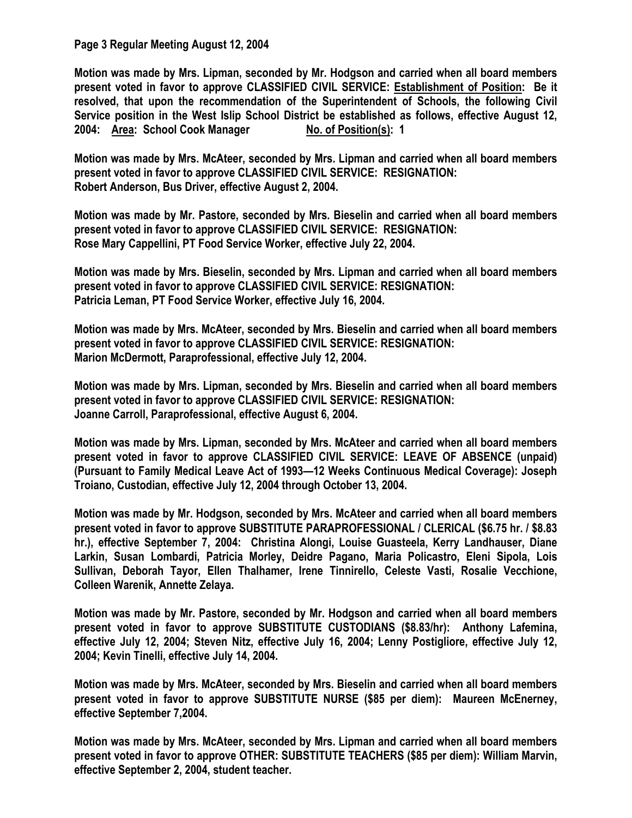## **Page 3 Regular Meeting August 12, 2004**

**Motion was made by Mrs. Lipman, seconded by Mr. Hodgson and carried when all board members present voted in favor to approve CLASSIFIED CIVIL SERVICE: Establishment of Position: Be it resolved, that upon the recommendation of the Superintendent of Schools, the following Civil Service position in the West Islip School District be established as follows, effective August 12, 2004:** Area: School Cook Manager No. of Position(s): 1

**Motion was made by Mrs. McAteer, seconded by Mrs. Lipman and carried when all board members present voted in favor to approve CLASSIFIED CIVIL SERVICE: RESIGNATION: Robert Anderson, Bus Driver, effective August 2, 2004.** 

**Motion was made by Mr. Pastore, seconded by Mrs. Bieselin and carried when all board members present voted in favor to approve CLASSIFIED CIVIL SERVICE: RESIGNATION: Rose Mary Cappellini, PT Food Service Worker, effective July 22, 2004.** 

**Motion was made by Mrs. Bieselin, seconded by Mrs. Lipman and carried when all board members present voted in favor to approve CLASSIFIED CIVIL SERVICE: RESIGNATION: Patricia Leman, PT Food Service Worker, effective July 16, 2004.** 

**Motion was made by Mrs. McAteer, seconded by Mrs. Bieselin and carried when all board members present voted in favor to approve CLASSIFIED CIVIL SERVICE: RESIGNATION: Marion McDermott, Paraprofessional, effective July 12, 2004.** 

**Motion was made by Mrs. Lipman, seconded by Mrs. Bieselin and carried when all board members present voted in favor to approve CLASSIFIED CIVIL SERVICE: RESIGNATION: Joanne Carroll, Paraprofessional, effective August 6, 2004.** 

**Motion was made by Mrs. Lipman, seconded by Mrs. McAteer and carried when all board members present voted in favor to approve CLASSIFIED CIVIL SERVICE: LEAVE OF ABSENCE (unpaid) (Pursuant to Family Medical Leave Act of 1993—12 Weeks Continuous Medical Coverage): Joseph Troiano, Custodian, effective July 12, 2004 through October 13, 2004.** 

**Motion was made by Mr. Hodgson, seconded by Mrs. McAteer and carried when all board members present voted in favor to approve SUBSTITUTE PARAPROFESSIONAL / CLERICAL (\$6.75 hr. / \$8.83 hr.), effective September 7, 2004: Christina Alongi, Louise Guasteela, Kerry Landhauser, Diane Larkin, Susan Lombardi, Patricia Morley, Deidre Pagano, Maria Policastro, Eleni Sipola, Lois Sullivan, Deborah Tayor, Ellen Thalhamer, Irene Tinnirello, Celeste Vasti, Rosalie Vecchione, Colleen Warenik, Annette Zelaya.** 

**Motion was made by Mr. Pastore, seconded by Mr. Hodgson and carried when all board members present voted in favor to approve SUBSTITUTE CUSTODIANS (\$8.83/hr): Anthony Lafemina, effective July 12, 2004; Steven Nitz, effective July 16, 2004; Lenny Postigliore, effective July 12, 2004; Kevin Tinelli, effective July 14, 2004.** 

**Motion was made by Mrs. McAteer, seconded by Mrs. Bieselin and carried when all board members present voted in favor to approve SUBSTITUTE NURSE (\$85 per diem): Maureen McEnerney, effective September 7,2004.** 

**Motion was made by Mrs. McAteer, seconded by Mrs. Lipman and carried when all board members present voted in favor to approve OTHER: SUBSTITUTE TEACHERS (\$85 per diem): William Marvin, effective September 2, 2004, student teacher.**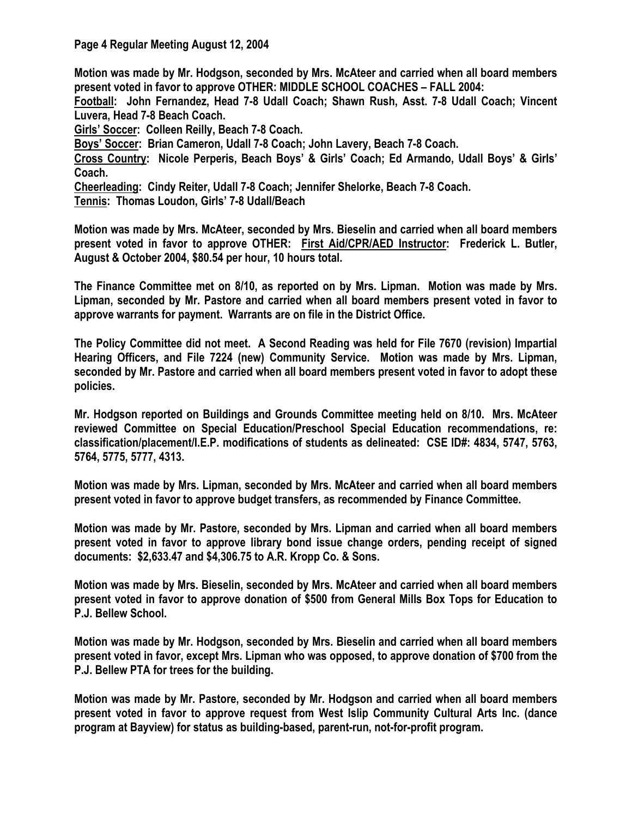**Page 4 Regular Meeting August 12, 2004** 

**Motion was made by Mr. Hodgson, seconded by Mrs. McAteer and carried when all board members present voted in favor to approve OTHER: MIDDLE SCHOOL COACHES – FALL 2004:** 

**Football: John Fernandez, Head 7-8 Udall Coach; Shawn Rush, Asst. 7-8 Udall Coach; Vincent Luvera, Head 7-8 Beach Coach.** 

**Girls' Soccer: Colleen Reilly, Beach 7-8 Coach.** 

**Boys' Soccer: Brian Cameron, Udall 7-8 Coach; John Lavery, Beach 7-8 Coach.** 

**Cross Country: Nicole Perperis, Beach Boys' & Girls' Coach; Ed Armando, Udall Boys' & Girls' Coach.** 

**Cheerleading: Cindy Reiter, Udall 7-8 Coach; Jennifer Shelorke, Beach 7-8 Coach.** 

**Tennis: Thomas Loudon, Girls' 7-8 Udall/Beach** 

**Motion was made by Mrs. McAteer, seconded by Mrs. Bieselin and carried when all board members present voted in favor to approve OTHER: First Aid/CPR/AED Instructor: Frederick L. Butler, August & October 2004, \$80.54 per hour, 10 hours total.** 

**The Finance Committee met on 8/10, as reported on by Mrs. Lipman. Motion was made by Mrs. Lipman, seconded by Mr. Pastore and carried when all board members present voted in favor to approve warrants for payment. Warrants are on file in the District Office.** 

**The Policy Committee did not meet. A Second Reading was held for File 7670 (revision) Impartial Hearing Officers, and File 7224 (new) Community Service. Motion was made by Mrs. Lipman, seconded by Mr. Pastore and carried when all board members present voted in favor to adopt these policies.** 

**Mr. Hodgson reported on Buildings and Grounds Committee meeting held on 8/10. Mrs. McAteer reviewed Committee on Special Education/Preschool Special Education recommendations, re: classification/placement/I.E.P. modifications of students as delineated: CSE ID#: 4834, 5747, 5763, 5764, 5775, 5777, 4313.** 

**Motion was made by Mrs. Lipman, seconded by Mrs. McAteer and carried when all board members present voted in favor to approve budget transfers, as recommended by Finance Committee.** 

**Motion was made by Mr. Pastore, seconded by Mrs. Lipman and carried when all board members present voted in favor to approve library bond issue change orders, pending receipt of signed documents: \$2,633.47 and \$4,306.75 to A.R. Kropp Co. & Sons.** 

**Motion was made by Mrs. Bieselin, seconded by Mrs. McAteer and carried when all board members present voted in favor to approve donation of \$500 from General Mills Box Tops for Education to P.J. Bellew School.** 

**Motion was made by Mr. Hodgson, seconded by Mrs. Bieselin and carried when all board members present voted in favor, except Mrs. Lipman who was opposed, to approve donation of \$700 from the P.J. Bellew PTA for trees for the building.** 

**Motion was made by Mr. Pastore, seconded by Mr. Hodgson and carried when all board members present voted in favor to approve request from West Islip Community Cultural Arts Inc. (dance program at Bayview) for status as building-based, parent-run, not-for-profit program.**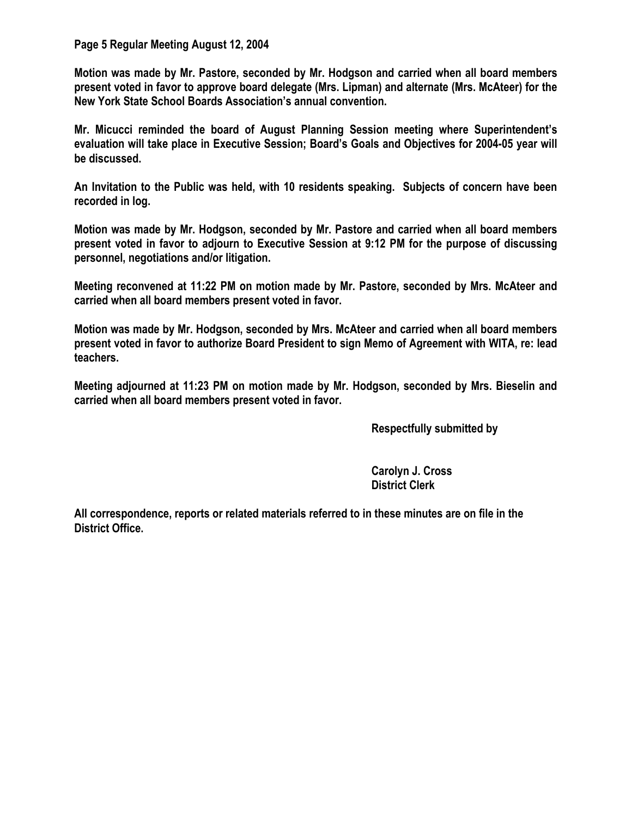## **Page 5 Regular Meeting August 12, 2004**

**Motion was made by Mr. Pastore, seconded by Mr. Hodgson and carried when all board members present voted in favor to approve board delegate (Mrs. Lipman) and alternate (Mrs. McAteer) for the New York State School Boards Association's annual convention.** 

**Mr. Micucci reminded the board of August Planning Session meeting where Superintendent's evaluation will take place in Executive Session; Board's Goals and Objectives for 2004-05 year will be discussed.** 

**An Invitation to the Public was held, with 10 residents speaking. Subjects of concern have been recorded in log.** 

**Motion was made by Mr. Hodgson, seconded by Mr. Pastore and carried when all board members present voted in favor to adjourn to Executive Session at 9:12 PM for the purpose of discussing personnel, negotiations and/or litigation.** 

**Meeting reconvened at 11:22 PM on motion made by Mr. Pastore, seconded by Mrs. McAteer and carried when all board members present voted in favor.** 

**Motion was made by Mr. Hodgson, seconded by Mrs. McAteer and carried when all board members present voted in favor to authorize Board President to sign Memo of Agreement with WITA, re: lead teachers.** 

**Meeting adjourned at 11:23 PM on motion made by Mr. Hodgson, seconded by Mrs. Bieselin and carried when all board members present voted in favor.** 

 **Respectfully submitted by** 

 **Carolyn J. Cross District Clerk** 

**All correspondence, reports or related materials referred to in these minutes are on file in the District Office.**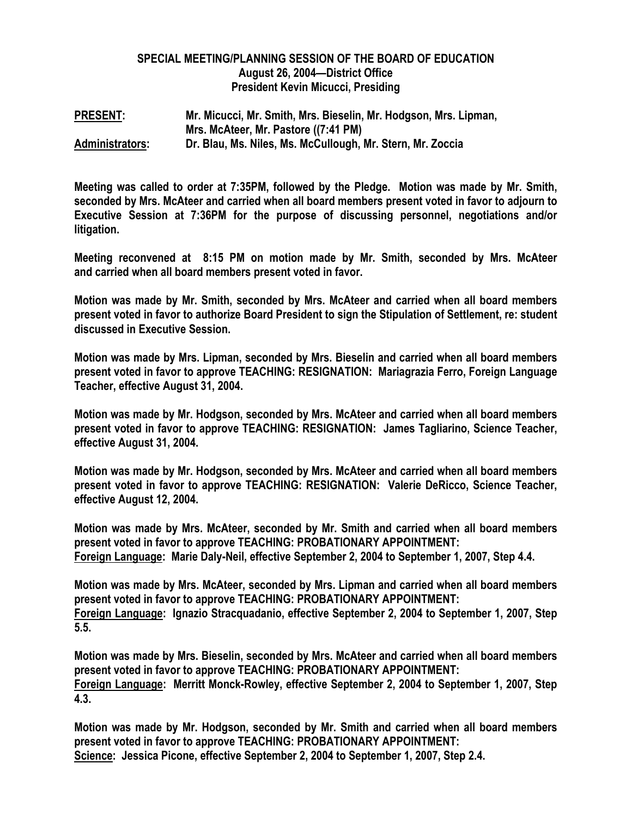## **SPECIAL MEETING/PLANNING SESSION OF THE BOARD OF EDUCATION August 26, 2004—District Office President Kevin Micucci, Presiding**

**PRESENT: Mr. Micucci, Mr. Smith, Mrs. Bieselin, Mr. Hodgson, Mrs. Lipman, Mrs. McAteer, Mr. Pastore ((7:41 PM) Administrators: Dr. Blau, Ms. Niles, Ms. McCullough, Mr. Stern, Mr. Zoccia** 

**Meeting was called to order at 7:35PM, followed by the Pledge. Motion was made by Mr. Smith, seconded by Mrs. McAteer and carried when all board members present voted in favor to adjourn to Executive Session at 7:36PM for the purpose of discussing personnel, negotiations and/or litigation.** 

**Meeting reconvened at 8:15 PM on motion made by Mr. Smith, seconded by Mrs. McAteer and carried when all board members present voted in favor.** 

**Motion was made by Mr. Smith, seconded by Mrs. McAteer and carried when all board members present voted in favor to authorize Board President to sign the Stipulation of Settlement, re: student discussed in Executive Session.** 

**Motion was made by Mrs. Lipman, seconded by Mrs. Bieselin and carried when all board members present voted in favor to approve TEACHING: RESIGNATION: Mariagrazia Ferro, Foreign Language Teacher, effective August 31, 2004.** 

**Motion was made by Mr. Hodgson, seconded by Mrs. McAteer and carried when all board members present voted in favor to approve TEACHING: RESIGNATION: James Tagliarino, Science Teacher, effective August 31, 2004.** 

**Motion was made by Mr. Hodgson, seconded by Mrs. McAteer and carried when all board members present voted in favor to approve TEACHING: RESIGNATION: Valerie DeRicco, Science Teacher, effective August 12, 2004.** 

**Motion was made by Mrs. McAteer, seconded by Mr. Smith and carried when all board members present voted in favor to approve TEACHING: PROBATIONARY APPOINTMENT: Foreign Language: Marie Daly-Neil, effective September 2, 2004 to September 1, 2007, Step 4.4.** 

**Motion was made by Mrs. McAteer, seconded by Mrs. Lipman and carried when all board members present voted in favor to approve TEACHING: PROBATIONARY APPOINTMENT: Foreign Language: Ignazio Stracquadanio, effective September 2, 2004 to September 1, 2007, Step 5.5.** 

**Motion was made by Mrs. Bieselin, seconded by Mrs. McAteer and carried when all board members present voted in favor to approve TEACHING: PROBATIONARY APPOINTMENT: Foreign Language: Merritt Monck-Rowley, effective September 2, 2004 to September 1, 2007, Step 4.3.** 

**Motion was made by Mr. Hodgson, seconded by Mr. Smith and carried when all board members present voted in favor to approve TEACHING: PROBATIONARY APPOINTMENT: Science: Jessica Picone, effective September 2, 2004 to September 1, 2007, Step 2.4.**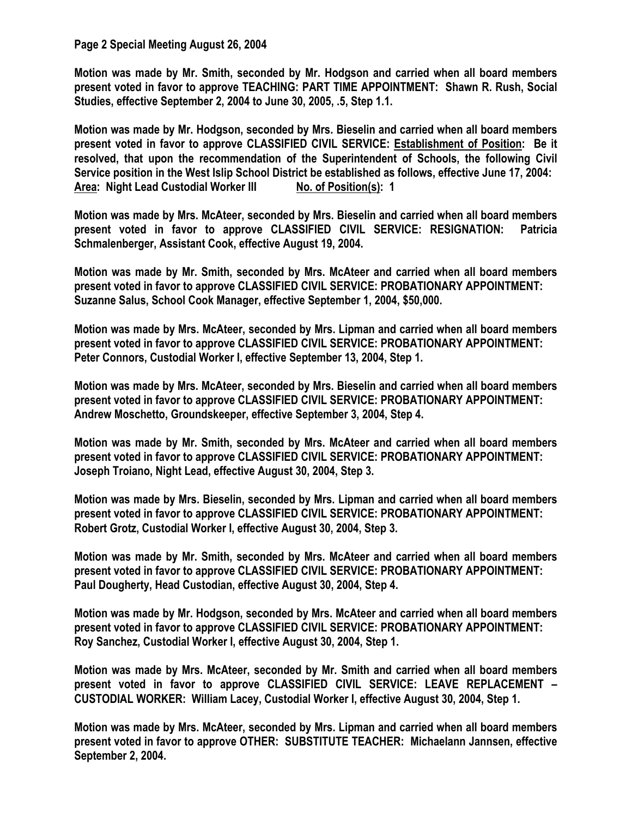## **Page 2 Special Meeting August 26, 2004**

**Motion was made by Mr. Smith, seconded by Mr. Hodgson and carried when all board members present voted in favor to approve TEACHING: PART TIME APPOINTMENT: Shawn R. Rush, Social Studies, effective September 2, 2004 to June 30, 2005, .5, Step 1.1.** 

**Motion was made by Mr. Hodgson, seconded by Mrs. Bieselin and carried when all board members present voted in favor to approve CLASSIFIED CIVIL SERVICE: Establishment of Position: Be it resolved, that upon the recommendation of the Superintendent of Schools, the following Civil Service position in the West Islip School District be established as follows, effective June 17, 2004:**  Area: Night Lead Custodial Worker III No. of Position(s): 1

**Motion was made by Mrs. McAteer, seconded by Mrs. Bieselin and carried when all board members present voted in favor to approve CLASSIFIED CIVIL SERVICE: RESIGNATION: Patricia Schmalenberger, Assistant Cook, effective August 19, 2004.** 

**Motion was made by Mr. Smith, seconded by Mrs. McAteer and carried when all board members present voted in favor to approve CLASSIFIED CIVIL SERVICE: PROBATIONARY APPOINTMENT: Suzanne Salus, School Cook Manager, effective September 1, 2004, \$50,000.** 

**Motion was made by Mrs. McAteer, seconded by Mrs. Lipman and carried when all board members present voted in favor to approve CLASSIFIED CIVIL SERVICE: PROBATIONARY APPOINTMENT: Peter Connors, Custodial Worker I, effective September 13, 2004, Step 1.** 

**Motion was made by Mrs. McAteer, seconded by Mrs. Bieselin and carried when all board members present voted in favor to approve CLASSIFIED CIVIL SERVICE: PROBATIONARY APPOINTMENT: Andrew Moschetto, Groundskeeper, effective September 3, 2004, Step 4.** 

**Motion was made by Mr. Smith, seconded by Mrs. McAteer and carried when all board members present voted in favor to approve CLASSIFIED CIVIL SERVICE: PROBATIONARY APPOINTMENT: Joseph Troiano, Night Lead, effective August 30, 2004, Step 3.** 

**Motion was made by Mrs. Bieselin, seconded by Mrs. Lipman and carried when all board members present voted in favor to approve CLASSIFIED CIVIL SERVICE: PROBATIONARY APPOINTMENT: Robert Grotz, Custodial Worker I, effective August 30, 2004, Step 3.** 

**Motion was made by Mr. Smith, seconded by Mrs. McAteer and carried when all board members present voted in favor to approve CLASSIFIED CIVIL SERVICE: PROBATIONARY APPOINTMENT: Paul Dougherty, Head Custodian, effective August 30, 2004, Step 4.** 

**Motion was made by Mr. Hodgson, seconded by Mrs. McAteer and carried when all board members present voted in favor to approve CLASSIFIED CIVIL SERVICE: PROBATIONARY APPOINTMENT: Roy Sanchez, Custodial Worker I, effective August 30, 2004, Step 1.** 

**Motion was made by Mrs. McAteer, seconded by Mr. Smith and carried when all board members present voted in favor to approve CLASSIFIED CIVIL SERVICE: LEAVE REPLACEMENT – CUSTODIAL WORKER: William Lacey, Custodial Worker I, effective August 30, 2004, Step 1.** 

**Motion was made by Mrs. McAteer, seconded by Mrs. Lipman and carried when all board members present voted in favor to approve OTHER: SUBSTITUTE TEACHER: Michaelann Jannsen, effective September 2, 2004.**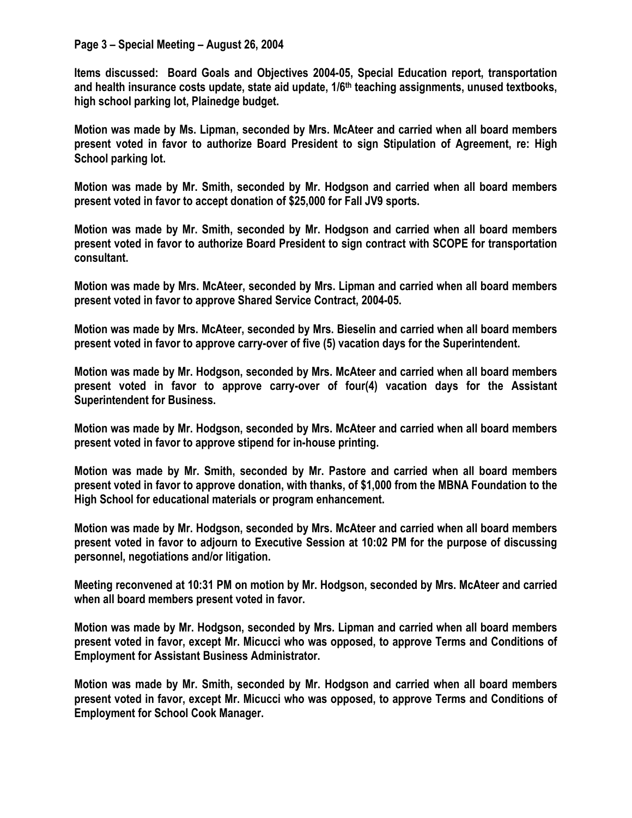## **Page 3 – Special Meeting – August 26, 2004**

**Items discussed: Board Goals and Objectives 2004-05, Special Education report, transportation and health insurance costs update, state aid update, 1/6th teaching assignments, unused textbooks, high school parking lot, Plainedge budget.** 

**Motion was made by Ms. Lipman, seconded by Mrs. McAteer and carried when all board members present voted in favor to authorize Board President to sign Stipulation of Agreement, re: High School parking lot.** 

**Motion was made by Mr. Smith, seconded by Mr. Hodgson and carried when all board members present voted in favor to accept donation of \$25,000 for Fall JV9 sports.** 

**Motion was made by Mr. Smith, seconded by Mr. Hodgson and carried when all board members present voted in favor to authorize Board President to sign contract with SCOPE for transportation consultant.** 

**Motion was made by Mrs. McAteer, seconded by Mrs. Lipman and carried when all board members present voted in favor to approve Shared Service Contract, 2004-05.** 

**Motion was made by Mrs. McAteer, seconded by Mrs. Bieselin and carried when all board members present voted in favor to approve carry-over of five (5) vacation days for the Superintendent.** 

**Motion was made by Mr. Hodgson, seconded by Mrs. McAteer and carried when all board members present voted in favor to approve carry-over of four(4) vacation days for the Assistant Superintendent for Business.** 

**Motion was made by Mr. Hodgson, seconded by Mrs. McAteer and carried when all board members present voted in favor to approve stipend for in-house printing.** 

**Motion was made by Mr. Smith, seconded by Mr. Pastore and carried when all board members present voted in favor to approve donation, with thanks, of \$1,000 from the MBNA Foundation to the High School for educational materials or program enhancement.** 

**Motion was made by Mr. Hodgson, seconded by Mrs. McAteer and carried when all board members present voted in favor to adjourn to Executive Session at 10:02 PM for the purpose of discussing personnel, negotiations and/or litigation.** 

**Meeting reconvened at 10:31 PM on motion by Mr. Hodgson, seconded by Mrs. McAteer and carried when all board members present voted in favor.** 

**Motion was made by Mr. Hodgson, seconded by Mrs. Lipman and carried when all board members present voted in favor, except Mr. Micucci who was opposed, to approve Terms and Conditions of Employment for Assistant Business Administrator.** 

**Motion was made by Mr. Smith, seconded by Mr. Hodgson and carried when all board members present voted in favor, except Mr. Micucci who was opposed, to approve Terms and Conditions of Employment for School Cook Manager.**